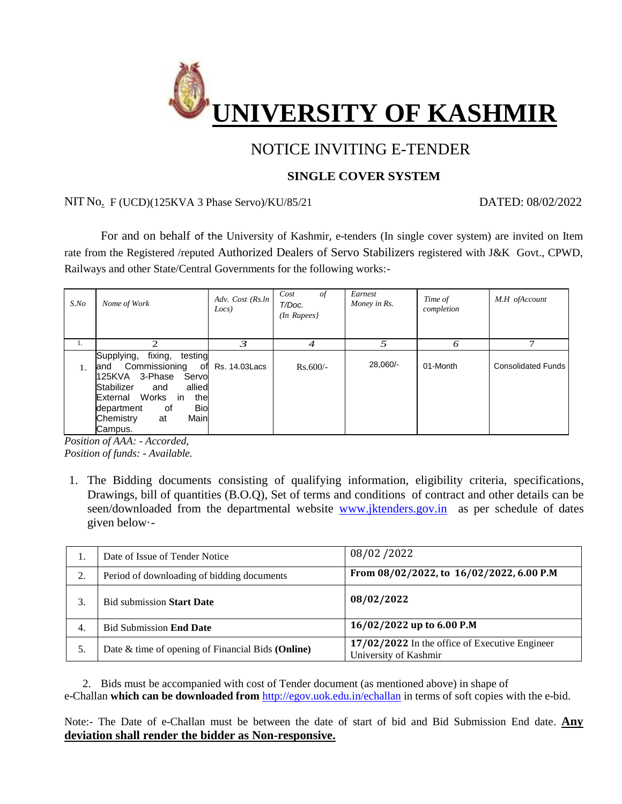

# NOTICE INVITING E-TENDER

### **SINGLE COVER SYSTEM**

#### NIT No. F (UCD)(125KVA 3 Phase Servo)/KU/85/21 DATED: 08/02/2022

For and on behalf of the University of Kashmir, e-tenders (In single cover system) are invited on Item rate from the Registered /reputed Authorized Dealers of Servo Stabilizers registered with J&K Govt., CPWD, Railways and other State/Central Governments for the following works:-

| $S$ .No | Nome of Work                                                                                                                                                                                                                        | Adv. Cost (Rs.ln<br>Locs) | Cost<br>οf<br>T/Doc.<br>$(In$ Rupees $)$ | Earnest<br>Money in Rs. | Time of<br>completion | M.H ofAccount             |
|---------|-------------------------------------------------------------------------------------------------------------------------------------------------------------------------------------------------------------------------------------|---------------------------|------------------------------------------|-------------------------|-----------------------|---------------------------|
| 1.      | $\mathcal{D}_{\mathcal{L}}$                                                                                                                                                                                                         | 3                         | 4                                        | 5                       | 6                     | 7                         |
| 1.      | fixing,<br>Supplying,<br>testing<br>Commissioning<br>of<br>land<br>3-Phase<br>125KVA<br>Servo<br>allied<br>Stabilizer<br>and<br>External Works<br>the<br>in<br><b>Bio</b><br>0f<br>department<br>Main<br>Chemistry<br>at<br>Campus. | Rs. 14.03Lacs             | $Rs.600/-$                               | 28,060/-                | 01-Month              | <b>Consolidated Funds</b> |

*Position of AAA: - Accorded, Position of funds: - Available.*

1. The Bidding documents consisting of qualifying information, eligibility criteria, specifications, Drawings, bill of quantities (B.O.Q), Set of terms and conditions of contract and other details can be seen/downloaded from the departmental website [www.jktenders.gov.in](http://www.jktenders.gov.in/) as per schedule of dates given below·-

| ı. | Date of Issue of Tender Notice                    | 08/02/2022                                                              |  |  |
|----|---------------------------------------------------|-------------------------------------------------------------------------|--|--|
| 2. | Period of downloading of bidding documents        | From 08/02/2022, to 16/02/2022, 6.00 P.M                                |  |  |
|    | <b>Bid submission Start Date</b>                  | 08/02/2022                                                              |  |  |
| 4. | <b>Bid Submission End Date</b>                    | 16/02/2022 up to 6.00 P.M                                               |  |  |
| 5. | Date & time of opening of Financial Bids (Online) | 17/02/2022 In the office of Executive Engineer<br>University of Kashmir |  |  |

2. Bids must be accompanied with cost of Tender document (as mentioned above) in shape of e-Challan **which can be downloaded from** <http://egov.uok.edu.in/echallan> in terms of soft copies with the e-bid.

Note:- The Date of e-Challan must be between the date of start of bid and Bid Submission End date. **Any deviation shall render the bidder as Non-responsive.**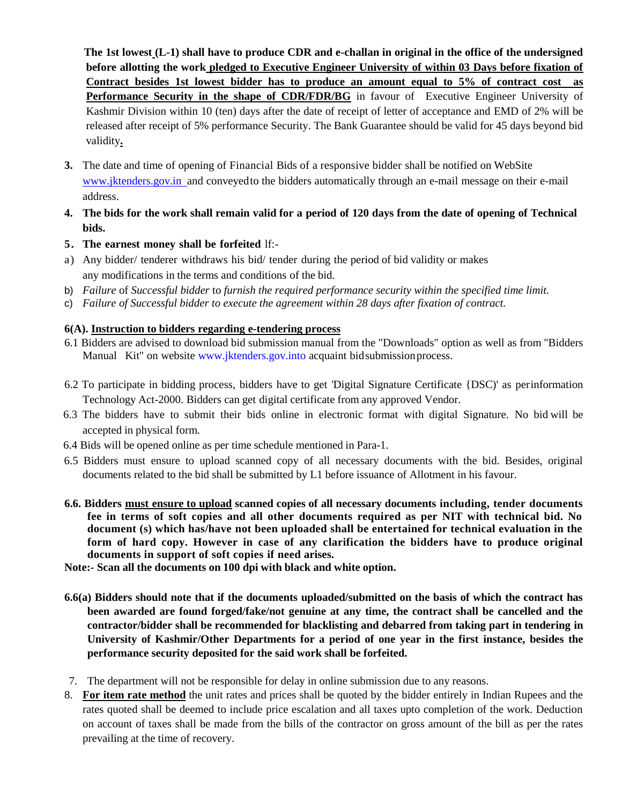**The 1st lowest (L-1) shall have to produce CDR and e-challan in original in the office of the undersigned before allotting the work pledged to Executive Engineer University of within 03 Days before fixation of Contract besides 1st lowest bidder has to produce an amount equal to 5% of contract cost as Performance Security in the shape of CDR/FDR/BG** in favour of Executive Engineer University of Kashmir Division within 10 (ten) days after the date of receipt of letter of acceptance and EMD of 2% will be released after receipt of 5% performance Security. The Bank Guarantee should be valid for 45 days beyond bid validity**.**

- **3.** The date and time of opening of Financial Bids of a responsive bidder shall be notified on WebSite www.jktenders.gov.in and conveyed to the bidders automatically through an e-mail message on their e-mail address.
- 4. The bids for the work shall remain valid for a period of 120 days from the date of opening of Technical **bids.**
- **5. The earnest money shall be forfeited** lf:-
- a) Any bidder/ tenderer withdraws his bid/ tender during the period of bid validity or makes any modifications in the terms and conditions of the bid.
- b) *Failure* of *Successful bidder* to *furnish the required performance security within the specified time limit.*
- c) *Failure of Successful bidder to execute the agreement within 28 days after fixation of contract.*

#### **6(A). Instruction to bidders regarding e-tendering process**

- 6.1 Bidders are advised to download bid submission manual from the "Downloads" option as well as from "Bidders Manual Kit" on website [www.jktenders.gov.into](http://www.jktenders.gov.into/) acquaint bid submissionprocess.
- 6.2 To participate in bidding process, bidders have to get 'Digital Signature Certificate {DSC)' as perinformation Technology Act-2000. Bidders can get digital certificate from any approved Vendor.
- 6.3 The bidders have to submit their bids online in electronic format with digital Signature. No bid will be accepted in physical form.
- 6.4 Bids will be opened online as per time schedule mentioned in Para-1.
- 6.5 Bidders must ensure to upload scanned copy of all necessary documents with the bid. Besides, original documents related to the bid shall be submitted by L1 before issuance of Allotment in his favour.
- **6.6. Bidders must ensure to upload scanned copies of all necessary documents including, tender documents fee in terms of soft copies and all other documents required as per NIT with technical bid. No document (s) which has/have not been uploaded shall be entertained for technical evaluation in the form of hard copy. However in case of any clarification the bidders have to produce original documents in support of soft copies if need arises.**
- **Note:- Scan all the documents on 100 dpi with black and white option.**
- **6.6(a) Bidders should note that if the documents uploaded/submitted on the basis of which the contract has been awarded are found forged/fake/not genuine at any time, the contract shall be cancelled and the contractor/bidder shall be recommended for blacklisting and debarred from taking part in tendering in University of Kashmir/Other Departments for a period of one year in the first instance, besides the performance security deposited for the said work shall be forfeited.**
- 7. The department will not be responsible for delay in online submission due to any reasons.
- 8. **For item rate method** the unit rates and prices shall be quoted by the bidder entirely in Indian Rupees and the rates quoted shall be deemed to include price escalation and all taxes upto completion of the work. Deduction on account of taxes shall be made from the bills of the contractor on gross amount of the bill as per the rates prevailing at the time of recovery.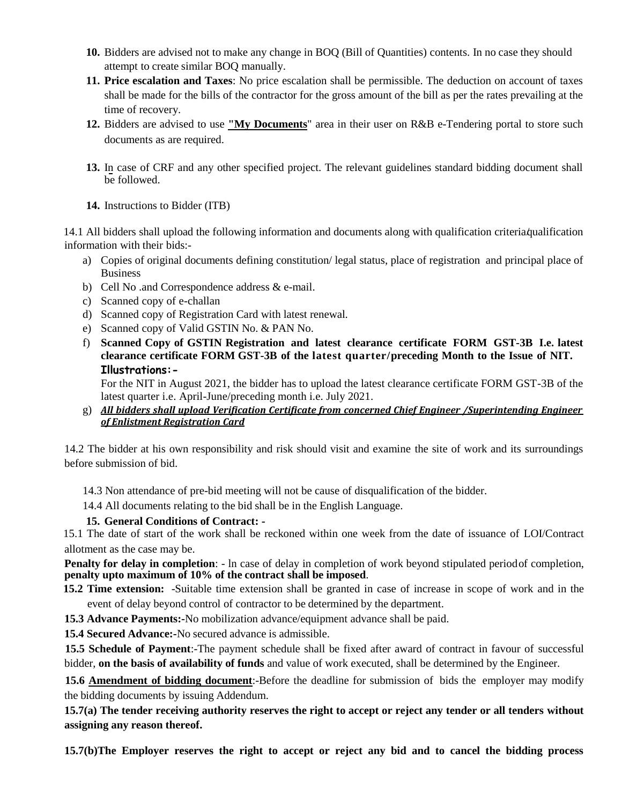- **10.** Bidders are advised not to make any change in BOQ (Bill of Quantities) contents. In no case they should attempt to create similar BOQ manually.
- **11. Price escalation and Taxes**: No price escalation shall be permissible. The deduction on account of taxes shall be made for the bills of the contractor for the gross amount of the bill as per the rates prevailing at the time of recovery.
- **12.** Bidders are advised to use **"My Documents**" area in their user on R&B e-Tendering portal to store such documents as are required.
- **13.** In case of CRF and any other specified project. The relevant guidelines standard bidding document shall be followed.
- **14.** Instructions to Bidder (ITB)

14.1 All bidders shall upload the following information and documents along with qualification criteria/qualification information with their bids:-

- a) Copies of original documents defining constitution/ legal status, place of registration and principal place of Business
- b) Cell No .and Correspondence address & e-mail.
- c) Scanned copy of e-challan
- d) Scanned copy of Registration Card with latest renewal.
- e) Scanned copy of Valid GSTIN No. & PAN No.
- f) **Scanned Copy of GSTIN Registration and latest clearance certificate FORM GST-3B I.e. latest clearance certificate FORM GST-3B of the latest quarter/preceding Month to the Issue of NIT. Illustrations:-**

For the NIT in August 2021, the bidder has to upload the latest clearance certificate FORM GST-3B of the latest quarter i.e. April-June/preceding month i.e. July 2021.

g) *All bidders shall upload Verification Certificate from concerned Chief Engineer /Superintending Engineer of Enlistment Registration Card*

14.2 The bidder at his own responsibility and risk should visit and examine the site of work and its surroundings before submission of bid.

- 14.3 Non attendance of pre-bid meeting will not be cause of disqualification of the bidder.
- 14.4 All documents relating to the bid shall be in the English Language.

#### **15. General Conditions of Contract: -**

15.1 The date of start of the work shall be reckoned within one week from the date of issuance of LOI/Contract allotment as the case may be.

**Penalty for delay in completion:** - ln case of delay in completion of work beyond stipulated periodof completion, **penalty upto maximum of 10% of the contract shall be imposed**.

**15.2 Time extension:** -Suitable time extension shall be granted in case of increase in scope of work and in the event of delay beyond control of contractor to be determined by the department.

**15.3 Advance Payments:-**No mobilization advance/equipment advance shall be paid.

**15.4 Secured Advance:-**No secured advance is admissible.

**15.5 Schedule of Payment**:-The payment schedule shall be fixed after award of contract in favour of successful bidder, **on the basis of availability of funds** and value of work executed, shall be determined by the Engineer.

**15.6 Amendment of bidding document**:-Before the deadline for submission of bids the employer may modify the bidding documents by issuing Addendum.

**15.7(a) The tender receiving authority reserves the right to accept or reject any tender or all tenders without assigning any reason thereof.**

**15.7(b)The Employer reserves the right to accept or reject any bid and to cancel the bidding process**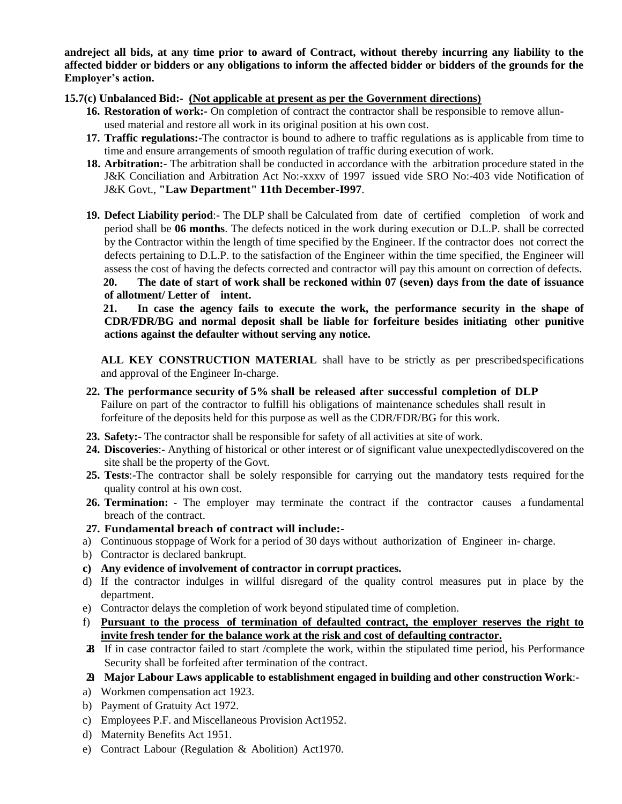**andreject all bids, at any time prior to award of Contract, without thereby incurring any liability to the affected bidder or bidders or any obligations to inform the affected bidder or bidders of the grounds for the Employer's action.**

#### **15.7(c) Unbalanced Bid:- (Not applicable at present as per the Government directions)**

- **16. Restoration of work:-** On completion of contract the contractor shall be responsible to remove allunused material and restore all work in its original position at his own cost.
- **17. Traffic regulations:-**The contractor is bound to adhere to traffic regulations as is applicable from time to time and ensure arrangements of smooth regulation of traffic during execution of work.
- **18. Arbitration:-** The arbitration shall be conducted in accordance with the arbitration procedure stated in the J&K Conciliation and Arbitration Act No:-xxxv of 1997 issued vide SRO No:-403 vide Notification of J&K Govt., **"Law Department" 11th December-I997**.
- **19. Defect Liability period**:- The DLP shall be Calculated from date of certified completion of work and period shall be **06 months**. The defects noticed in the work during execution or D.L.P. shall be corrected by the Contractor within the length of time specified by the Engineer. If the contractor does not correct the defects pertaining to D.L.P. to the satisfaction of the Engineer within the time specified, the Engineer will assess the cost of having the defects corrected and contractor will pay this amount on correction of defects. **20. The date of start of work shall be reckoned within 07 (seven) days from the date of issuance**

#### **of allotment/ Letter of intent.**

**21. In case the agency fails to execute the work, the performance security in the shape of CDR/FDR/BG and normal deposit shall be liable for forfeiture besides initiating other punitive actions against the defaulter without serving any notice.**

**ALL KEY CONSTRUCTION MATERIAL** shall have to be strictly as per prescribedspecifications and approval of the Engineer In-charge.

- **22. The performance security of 5% shall be released after successful completion of DLP** Failure on part of the contractor to fulfill his obligations of maintenance schedules shall result in forfeiture of the deposits held for this purpose as well as the CDR/FDR/BG for this work.
- **23. Safety:** The contractor shall be responsible for safety of all activities at site of work.
- **24. Discoveries**:- Anything of historical or other interest or of significant value unexpectedlydiscovered on the site shall be the property of the Govt.
- **25. Tests**:-The contractor shall be solely responsible for carrying out the mandatory tests required for the quality control at his own cost.
- 26. Termination: The employer may terminate the contract if the contractor causes a fundamental breach of the contract.
- **27. Fundamental breach of contract will include:-**
- a) Continuous stoppage of Work for a period of 30 days without authorization of Engineer in- charge.
- b) Contractor is declared bankrupt.
- **c) Any evidence of involvement of contractor in corrupt practices.**
- d) If the contractor indulges in willful disregard of the quality control measures put in place by the department.
- e) Contractor delays the completion of work beyond stipulated time of completion.
- f) **Pursuant to the process of termination of defaulted contract, the employer reserves the right to invite fresh tender for the balance work at the risk and cost of defaulting contractor.**
- **28.** If in case contractor failed to start /complete the work, within the stipulated time period, his Performance Security shall be forfeited after termination of the contract.

#### **29. Major Labour Laws applicable to establishment engaged in building and other construction Work**:-

- a) Workmen compensation act 1923.
- b) Payment of Gratuity Act 1972.
- c) Employees P.F. and Miscellaneous Provision Act1952.
- d) Maternity Benefits Act 1951.
- e) Contract Labour (Regulation & Abolition) Act1970.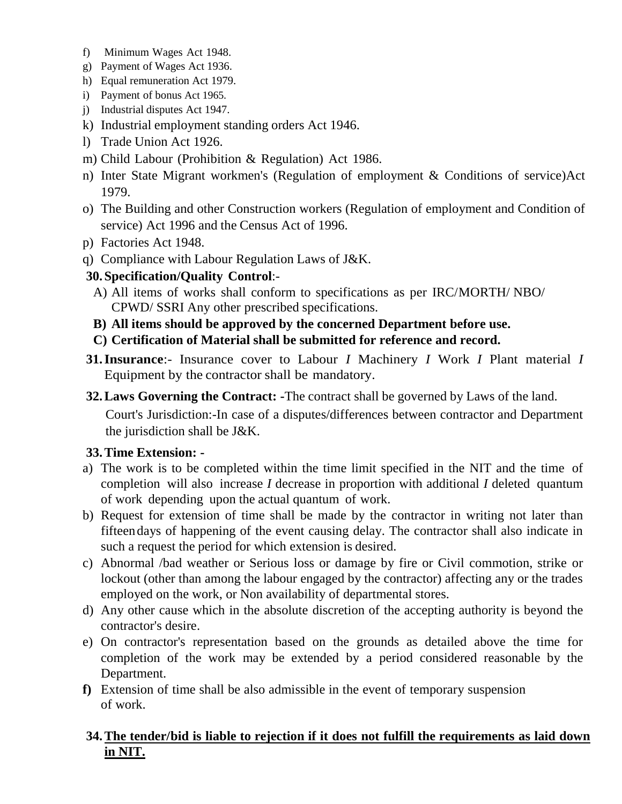- f) Minimum Wages Act 1948.
- g) Payment of Wages Act 1936.
- h) Equal remuneration Act 1979.
- i) Payment of bonus Act 1965.
- j) Industrial disputes Act 1947.
- k) Industrial employment standing orders Act 1946.
- l) Trade Union Act 1926.
- m) Child Labour (Prohibition & Regulation) Act 1986.
- n) Inter State Migrant workmen's (Regulation of employment & Conditions of service)Act 1979.
- o) The Building and other Construction workers (Regulation of employment and Condition of service) Act 1996 and the Census Act of 1996.
- p) Factories Act 1948.
- q) Compliance with Labour Regulation Laws of J&K.
- **30.Specification/Quality Control**:-
- A) All items of works shall conform to specifications as per IRC/MORTH/ NBO/ CPWD/ SSRI Any other prescribed specifications.
- **B) All items should be approved by the concerned Department before use.**
- **C) Certification of Material shall be submitted for reference and record.**
- **31.Insurance**:- Insurance cover to Labour *I* Machinery *I* Work *I* Plant material *I*  Equipment by the contractor shall be mandatory.
- **32.Laws Governing the Contract: -**The contract shall be governed by Laws of the land.

Court's Jurisdiction:-In case of a disputes/differences between contractor and Department the jurisdiction shall be J&K.

## **33.Time Extension: -**

- a) The work is to be completed within the time limit specified in the NIT and the time of completion will also increase *I* decrease in proportion with additional *I* deleted quantum of work depending upon the actual quantum of work.
- b) Request for extension of time shall be made by the contractor in writing not later than fifteendays of happening of the event causing delay. The contractor shall also indicate in such a request the period for which extension is desired.
- c) Abnormal /bad weather or Serious loss or damage by fire or Civil commotion, strike or lockout (other than among the labour engaged by the contractor) affecting any or the trades employed on the work, or Non availability of departmental stores.
- d) Any other cause which in the absolute discretion of the accepting authority is beyond the contractor's desire.
- e) On contractor's representation based on the grounds as detailed above the time for completion of the work may be extended by a period considered reasonable by the Department.
- **f)** Extension of time shall be also admissible in the event of temporary suspension of work.

## **34.The tender/bid is liable to rejection if it does not fulfill the requirements as laid down in NIT.**